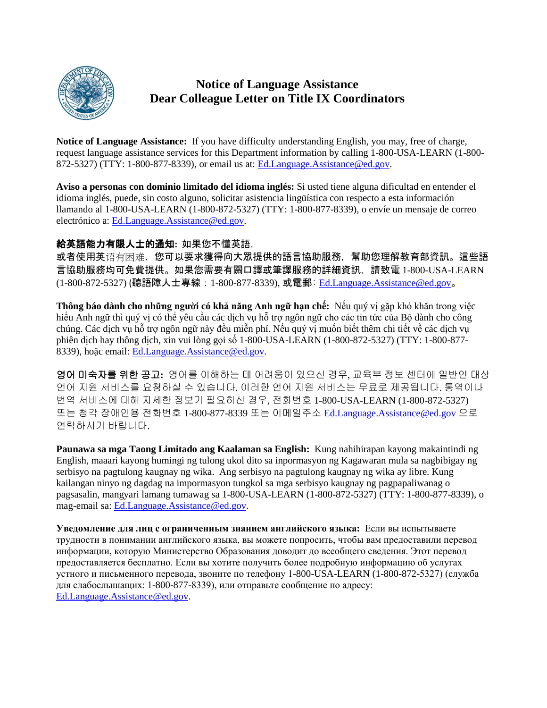

# **Notice of Language Assistance Dear Colleague Letter on Title IX Coordinators**

**Notice of Language Assistance:** If you have difficulty understanding English, you may, free of charge, request language assistance services for this Department information by calling 1-800-USA-LEARN (1-800- 872-5327) (TTY: 1-800-877-8339), or email us at: [Ed.Language.Assistance@ed.gov.](mailto:Ed.Language.Assistance@ed.gov)

**Aviso a personas con dominio limitado del idioma inglés:** Si usted tiene alguna dificultad en entender el idioma inglés, puede, sin costo alguno, solicitar asistencia lingüística con respecto a esta información llamando al 1-800-USA-LEARN (1-800-872-5327) (TTY: 1-800-877-8339), o envíe un mensaje de correo electrónico a: [Ed.Language.Assistance@ed.gov.](mailto:Ed.Language.Assistance@ed.gov)

#### 給英語能力有限人士的通知**:** 如果您不懂英語,

或者使用英语有困难,您可以要求獲得向大眾提供的語言協助服務,幫助您理解教育部資訊。這些語 言協助服務均可免費提供。如果您需要有關口譯或筆譯服務的詳細資訊,請致電 1-800-USA-LEARN (1-800-872-5327) (聽語障人士專線:1-800-877-8339), 或電郵: [Ed.Language.Assistance@ed.gov](mailto:Ed.Language.Assistance@ed.gov)。

**Thông báo dành cho những người có khả năng Anh ngữ hạn chế:** Nếu quý vị gặp khó khăn trong việc hiểu Anh ngữ thì quý vị có thể yêu cầu các dịch vụ hỗ trợ ngôn ngữ cho các tin tức của Bộ dành cho công chúng. Các dịch vụ hỗ trợ ngôn ngữ này đều miễn phí. Nếu quý vị muốn biết thêm chi tiết về các dịch vụ phiên dịch hay thông dịch, xin vui lòng gọi số 1-800-USA-LEARN (1-800-872-5327) (TTY: 1-800-877- 8339), hoặc email: [Ed.Language.Assistance@ed.gov.](mailto:Ed.Language.Assistance@ed.gov)

영어 미숙자를 위한 공고**:** 영어를 이해하는 데 어려움이 있으신 경우, 교육부 정보 센터에 일반인 대상 언어 지원 서비스를 요청하실 수 있습니다. 이러한 언어 지원 서비스는 무료로 제공됩니다. 통역이나 번역 서비스에 대해 자세한 정보가 필요하신 경우, 전화번호 1-800-USA-LEARN (1-800-872-5327) 또는 청각 장애인용 전화번호 1-800-877-8339 또는 이메일주소 [Ed.Language.Assistance@ed.gov](mailto:Ed.Language.Assistance@ed.gov) 으로 연락하시기 바랍니다.

**Paunawa sa mga Taong Limitado ang Kaalaman sa English:** Kung nahihirapan kayong makaintindi ng English, maaari kayong humingi ng tulong ukol dito sa inpormasyon ng Kagawaran mula sa nagbibigay ng serbisyo na pagtulong kaugnay ng wika. Ang serbisyo na pagtulong kaugnay ng wika ay libre. Kung kailangan ninyo ng dagdag na impormasyon tungkol sa mga serbisyo kaugnay ng pagpapaliwanag o pagsasalin, mangyari lamang tumawag sa 1-800-USA-LEARN (1-800-872-5327) (TTY: 1-800-877-8339), o mag-email sa: [Ed.Language.Assistance@ed.gov.](mailto:Ed.Language.Assistance@ed.gov)

**Уведомление для лиц с ограниченным знанием английского языка:** Если вы испытываете трудности в понимании английского языка, вы можете попросить, чтобы вам предоставили перевод информации, которую Министерство Образования доводит до всеобщего сведения. Этот перевод предоставляется бесплатно. Если вы хотите получить более подробную информацию об услугах устного и письменного перевода, звоните по телефону 1-800-USA-LEARN (1-800-872-5327) (служба для слабослышащих: 1-800-877-8339), или отправьте сообщение по адресу: [Ed.Language.Assistance@ed.gov.](mailto:Ed.Language.Assistance@ed.gov)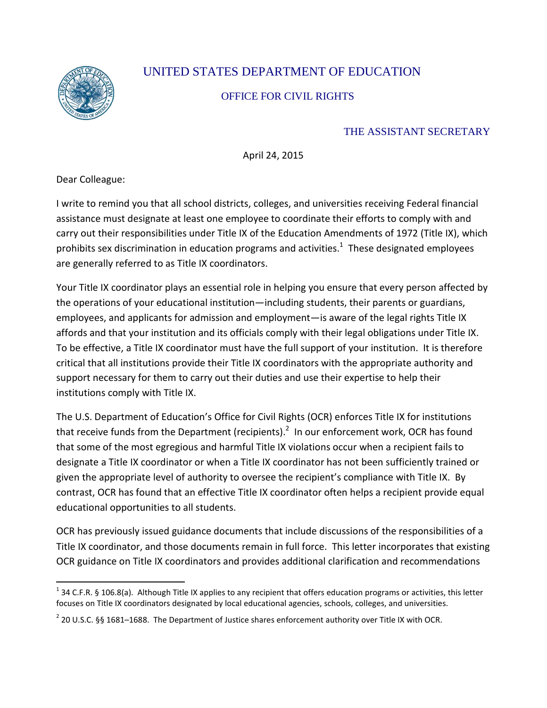

# UNITED STATES DEPARTMENT OF EDUCATION

# OFFICE FOR CIVIL RIGHTS

# THE ASSISTANT SECRETARY

April 24, 2015

Dear Colleague:

I write to remind you that all school districts, colleges, and universities receiving Federal financial assistance must designate at least one employee to coordinate their efforts to comply with and carry out their responsibilities under Title IX of the Education Amendments of 1972 (Title IX), which prohibits sex discrimination in education programs and activities.<sup>1</sup> These designated employees are generally referred to as Title IX coordinators.

Your Title IX coordinator plays an essential role in helping you ensure that every person affected by the operations of your educational institution—including students, their parents or guardians, employees, and applicants for admission and employment—is aware of the legal rights Title IX affords and that your institution and its officials comply with their legal obligations under Title IX. To be effective, a Title IX coordinator must have the full support of your institution. It is therefore critical that all institutions provide their Title IX coordinators with the appropriate authority and support necessary for them to carry out their duties and use their expertise to help their institutions comply with Title IX.

The U.S. Department of Education's Office for Civil Rights (OCR) enforces Title IX for institutions that receive funds from the Department (recipients).<sup>2</sup> In our enforcement work, OCR has found that some of the most egregious and harmful Title IX violations occur when a recipient fails to designate a Title IX coordinator or when a Title IX coordinator has not been sufficiently trained or given the appropriate level of authority to oversee the recipient's compliance with Title IX. By contrast, OCR has found that an effective Title IX coordinator often helps a recipient provide equal educational opportunities to all students.

OCR has previously issued guidance documents that include discussions of the responsibilities of a Title IX coordinator, and those documents remain in full force. This letter incorporates that existing OCR guidance on Title IX coordinators and provides additional clarification and recommendations

 $1$  34 C.F.R. § 106.8(a). Although Title IX applies to any recipient that offers education programs or activities, this letter focuses on Title IX coordinators designated by local educational agencies, schools, colleges, and universities.  $\overline{a}$ 

 $^{2}$  20 U.S.C. §§ 1681–1688. The Department of Justice shares enforcement authority over Title IX with OCR.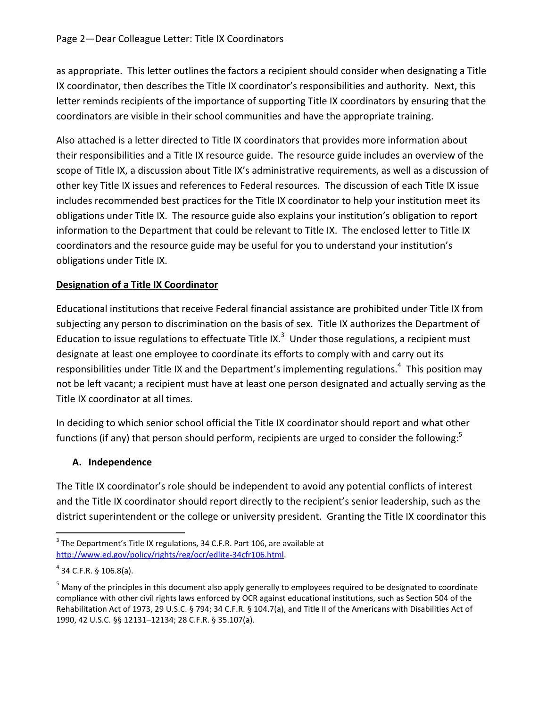as appropriate. This letter outlines the factors a recipient should consider when designating a Title IX coordinator, then describes the Title IX coordinator's responsibilities and authority. Next, this letter reminds recipients of the importance of supporting Title IX coordinators by ensuring that the coordinators are visible in their school communities and have the appropriate training.

Also attached is a letter directed to Title IX coordinators that provides more information about their responsibilities and a Title IX resource guide. The resource guide includes an overview of the scope of Title IX, a discussion about Title IX's administrative requirements, as well as a discussion of other key Title IX issues and references to Federal resources. The discussion of each Title IX issue includes recommended best practices for the Title IX coordinator to help your institution meet its obligations under Title IX. The resource guide also explains your institution's obligation to report information to the Department that could be relevant to Title IX. The enclosed letter to Title IX coordinators and the resource guide may be useful for you to understand your institution's obligations under Title IX.

#### **Designation of a Title IX Coordinator**

Educational institutions that receive Federal financial assistance are prohibited under Title IX from subjecting any person to discrimination on the basis of sex. Title IX authorizes the Department of Education to issue regulations to effectuate Title IX.<sup>3</sup> Under those regulations, a recipient must designate at least one employee to coordinate its efforts to comply with and carry out its responsibilities under Title IX and the Department's implementing regulations.<sup>4</sup> This position may not be left vacant; a recipient must have at least one person designated and actually serving as the Title IX coordinator at all times.

In deciding to which senior school official the Title IX coordinator should report and what other functions (if any) that person should perform, recipients are urged to consider the following:<sup>5</sup>

# **A. Independence**

The Title IX coordinator's role should be independent to avoid any potential conflicts of interest and the Title IX coordinator should report directly to the recipient's senior leadership, such as the district superintendent or the college or university president. Granting the Title IX coordinator this

 $\overline{a}$ 

 $3$  The Department's Title IX regulations, 34 C.F.R. Part 106, are available at [http://www.ed.gov/policy/rights/reg/ocr/edlite-34cfr106.html.](http://www.ed.gov/policy/rights/reg/ocr/edlite-34cfr106.html)

 $4$  34 C.F.R. § 106.8(a).

<sup>&</sup>lt;sup>5</sup> Many of the principles in this document also apply generally to employees required to be designated to coordinate compliance with other civil rights laws enforced by OCR against educational institutions, such as Section 504 of the Rehabilitation Act of 1973, 29 U.S.C. § 794; 34 C.F.R. § 104.7(a), and Title II of the Americans with Disabilities Act of 1990, 42 U.S.C. §§ 12131–12134; 28 C.F.R. § 35.107(a).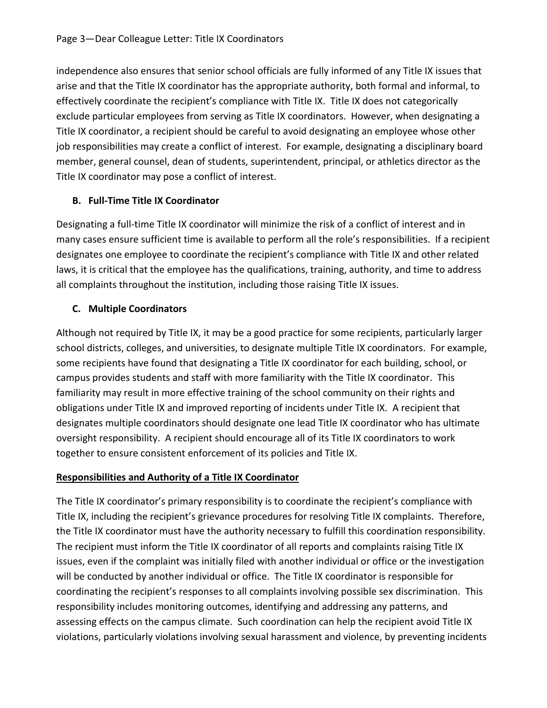independence also ensures that senior school officials are fully informed of any Title IX issues that arise and that the Title IX coordinator has the appropriate authority, both formal and informal, to effectively coordinate the recipient's compliance with Title IX. Title IX does not categorically exclude particular employees from serving as Title IX coordinators. However, when designating a Title IX coordinator, a recipient should be careful to avoid designating an employee whose other job responsibilities may create a conflict of interest. For example, designating a disciplinary board member, general counsel, dean of students, superintendent, principal, or athletics director as the Title IX coordinator may pose a conflict of interest.

#### **B. Full-Time Title IX Coordinator**

Designating a full-time Title IX coordinator will minimize the risk of a conflict of interest and in many cases ensure sufficient time is available to perform all the role's responsibilities. If a recipient designates one employee to coordinate the recipient's compliance with Title IX and other related laws, it is critical that the employee has the qualifications, training, authority, and time to address all complaints throughout the institution, including those raising Title IX issues.

# **C. Multiple Coordinators**

Although not required by Title IX, it may be a good practice for some recipients, particularly larger school districts, colleges, and universities, to designate multiple Title IX coordinators. For example, some recipients have found that designating a Title IX coordinator for each building, school, or campus provides students and staff with more familiarity with the Title IX coordinator. This familiarity may result in more effective training of the school community on their rights and obligations under Title IX and improved reporting of incidents under Title IX. A recipient that designates multiple coordinators should designate one lead Title IX coordinator who has ultimate oversight responsibility. A recipient should encourage all of its Title IX coordinators to work together to ensure consistent enforcement of its policies and Title IX.

#### **Responsibilities and Authority of a Title IX Coordinator**

The Title IX coordinator's primary responsibility is to coordinate the recipient's compliance with Title IX, including the recipient's grievance procedures for resolving Title IX complaints. Therefore, the Title IX coordinator must have the authority necessary to fulfill this coordination responsibility. The recipient must inform the Title IX coordinator of all reports and complaints raising Title IX issues, even if the complaint was initially filed with another individual or office or the investigation will be conducted by another individual or office. The Title IX coordinator is responsible for coordinating the recipient's responses to all complaints involving possible sex discrimination. This responsibility includes monitoring outcomes, identifying and addressing any patterns, and assessing effects on the campus climate. Such coordination can help the recipient avoid Title IX violations, particularly violations involving sexual harassment and violence, by preventing incidents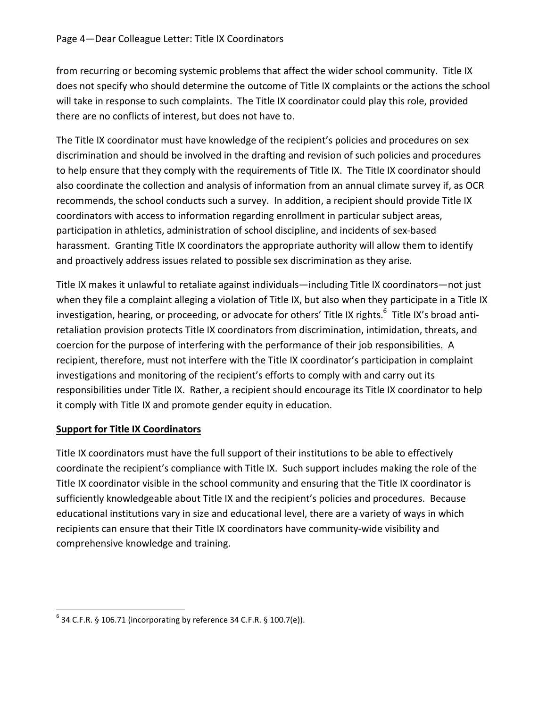from recurring or becoming systemic problems that affect the wider school community. Title IX does not specify who should determine the outcome of Title IX complaints or the actions the school will take in response to such complaints. The Title IX coordinator could play this role, provided there are no conflicts of interest, but does not have to.

The Title IX coordinator must have knowledge of the recipient's policies and procedures on sex discrimination and should be involved in the drafting and revision of such policies and procedures to help ensure that they comply with the requirements of Title IX. The Title IX coordinator should also coordinate the collection and analysis of information from an annual climate survey if, as OCR recommends, the school conducts such a survey. In addition, a recipient should provide Title IX coordinators with access to information regarding enrollment in particular subject areas, participation in athletics, administration of school discipline, and incidents of sex-based harassment. Granting Title IX coordinators the appropriate authority will allow them to identify and proactively address issues related to possible sex discrimination as they arise.

Title IX makes it unlawful to retaliate against individuals—including Title IX coordinators—not just when they file a complaint alleging a violation of Title IX, but also when they participate in a Title IX investigation, hearing, or proceeding, or advocate for others' Title IX rights.<sup>6</sup> Title IX's broad antiretaliation provision protects Title IX coordinators from discrimination, intimidation, threats, and coercion for the purpose of interfering with the performance of their job responsibilities. A recipient, therefore, must not interfere with the Title IX coordinator's participation in complaint investigations and monitoring of the recipient's efforts to comply with and carry out its responsibilities under Title IX. Rather, a recipient should encourage its Title IX coordinator to help it comply with Title IX and promote gender equity in education.

#### **Support for Title IX Coordinators**

 $\overline{a}$ 

Title IX coordinators must have the full support of their institutions to be able to effectively coordinate the recipient's compliance with Title IX. Such support includes making the role of the Title IX coordinator visible in the school community and ensuring that the Title IX coordinator is sufficiently knowledgeable about Title IX and the recipient's policies and procedures. Because educational institutions vary in size and educational level, there are a variety of ways in which recipients can ensure that their Title IX coordinators have community-wide visibility and comprehensive knowledge and training.

 $6$  34 C.F.R. § 106.71 (incorporating by reference 34 C.F.R. § 100.7(e)).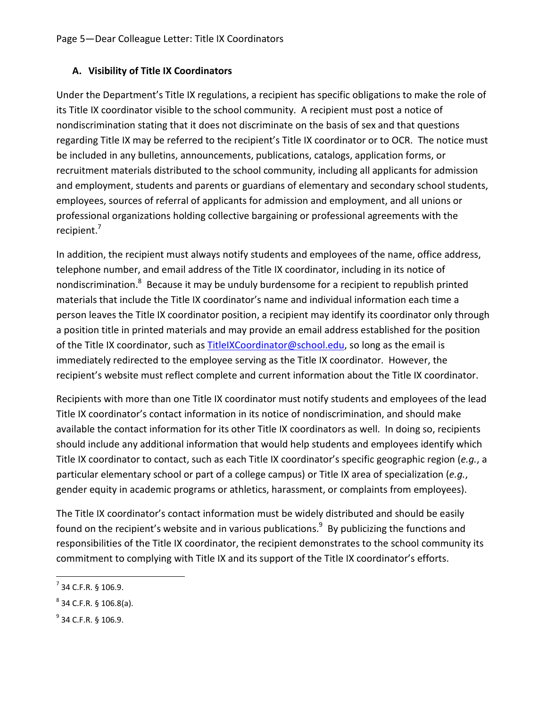#### **A. Visibility of Title IX Coordinators**

Under the Department's Title IX regulations, a recipient has specific obligations to make the role of its Title IX coordinator visible to the school community. A recipient must post a notice of nondiscrimination stating that it does not discriminate on the basis of sex and that questions regarding Title IX may be referred to the recipient's Title IX coordinator or to OCR. The notice must be included in any bulletins, announcements, publications, catalogs, application forms, or recruitment materials distributed to the school community, including all applicants for admission and employment, students and parents or guardians of elementary and secondary school students, employees, sources of referral of applicants for admission and employment, and all unions or professional organizations holding collective bargaining or professional agreements with the recipient.<sup>7</sup>

In addition, the recipient must always notify students and employees of the name, office address, telephone number, and email address of the Title IX coordinator, including in its notice of nondiscrimination.<sup>8</sup> Because it may be unduly burdensome for a recipient to republish printed materials that include the Title IX coordinator's name and individual information each time a person leaves the Title IX coordinator position, a recipient may identify its coordinator only through a position title in printed materials and may provide an email address established for the position of the Title IX coordinator, such as [TitleIXCoordinator@school.edu,](mailto:TitleIXCoordinator@school.edu) so long as the email is immediately redirected to the employee serving as the Title IX coordinator. However, the recipient's website must reflect complete and current information about the Title IX coordinator.

Recipients with more than one Title IX coordinator must notify students and employees of the lead Title IX coordinator's contact information in its notice of nondiscrimination, and should make available the contact information for its other Title IX coordinators as well. In doing so, recipients should include any additional information that would help students and employees identify which Title IX coordinator to contact, such as each Title IX coordinator's specific geographic region (*e.g.*, a particular elementary school or part of a college campus) or Title IX area of specialization (*e.g.*, gender equity in academic programs or athletics, harassment, or complaints from employees).

The Title IX coordinator's contact information must be widely distributed and should be easily found on the recipient's website and in various publications. $^9\,$  By publicizing the functions and responsibilities of the Title IX coordinator, the recipient demonstrates to the school community its commitment to complying with Title IX and its support of the Title IX coordinator's efforts.

 $\overline{a}$ 

 $<sup>7</sup>$  34 C.F.R. § 106.9.</sup>

 $8^8$  34 C.F.R. § 106.8(a).

 $^{9}$  34 C.F.R. § 106.9.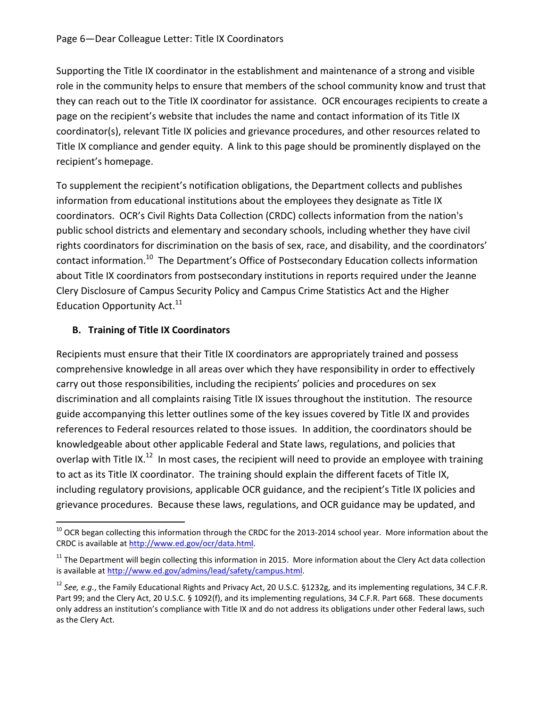Supporting the Title IX coordinator in the establishment and maintenance of a strong and visible role in the community helps to ensure that members of the school community know and trust that they can reach out to the Title IX coordinator for assistance. OCR encourages recipients to create a page on the recipient's website that includes the name and contact information of its Title IX coordinator(s), relevant Title IX policies and grievance procedures, and other resources related to Title IX compliance and gender equity. A link to this page should be prominently displayed on the recipient's homepage.

To supplement the recipient's notification obligations, the Department collects and publishes information from educational institutions about the employees they designate as Title IX coordinators. OCR's Civil Rights Data Collection (CRDC) collects information from the nation's public school districts and elementary and secondary schools, including whether they have civil rights coordinators for discrimination on the basis of sex, race, and disability, and the coordinators' contact information.<sup>10</sup> The Department's Office of Postsecondary Education collects information about Title IX coordinators from postsecondary institutions in reports required under the Jeanne Clery Disclosure of Campus Security Policy and Campus Crime Statistics Act and the Higher Education Opportunity Act. $11$ 

#### **B. Training of Title IX Coordinators**

 $\overline{a}$ 

Recipients must ensure that their Title IX coordinators are appropriately trained and possess comprehensive knowledge in all areas over which they have responsibility in order to effectively carry out those responsibilities, including the recipients' policies and procedures on sex discrimination and all complaints raising Title IX issues throughout the institution. The resource guide accompanying this letter outlines some of the key issues covered by Title IX and provides references to Federal resources related to those issues. In addition, the coordinators should be knowledgeable about other applicable Federal and State laws, regulations, and policies that overlap with Title IX.<sup>12</sup> In most cases, the recipient will need to provide an employee with training to act as its Title IX coordinator. The training should explain the different facets of Title IX, including regulatory provisions, applicable OCR guidance, and the recipient's Title IX policies and grievance procedures. Because these laws, regulations, and OCR guidance may be updated, and

 $10$  OCR began collecting this information through the CRDC for the 2013-2014 school year. More information about the CRDC is available a[t http://www.ed.gov/ocr/data.html.](http://www.ed.gov/ocr/data.html)

<sup>&</sup>lt;sup>11</sup> The Department will begin collecting this information in 2015. More information about the Clery Act data collection is available at [http://www.ed.gov/admins/lead/safety/campus.html.](http://www.ed.gov/admins/lead/safety/campus.html)

<sup>12</sup> *See, e.g*., the Family Educational Rights and Privacy Act, 20 U.S.C. §1232g, and its implementing regulations, 34 C.F.R. Part 99; and the Clery Act, 20 U.S.C. § 1092(f), and its implementing regulations, 34 C.F.R. Part 668. These documents only address an institution's compliance with Title IX and do not address its obligations under other Federal laws, such as the Clery Act.